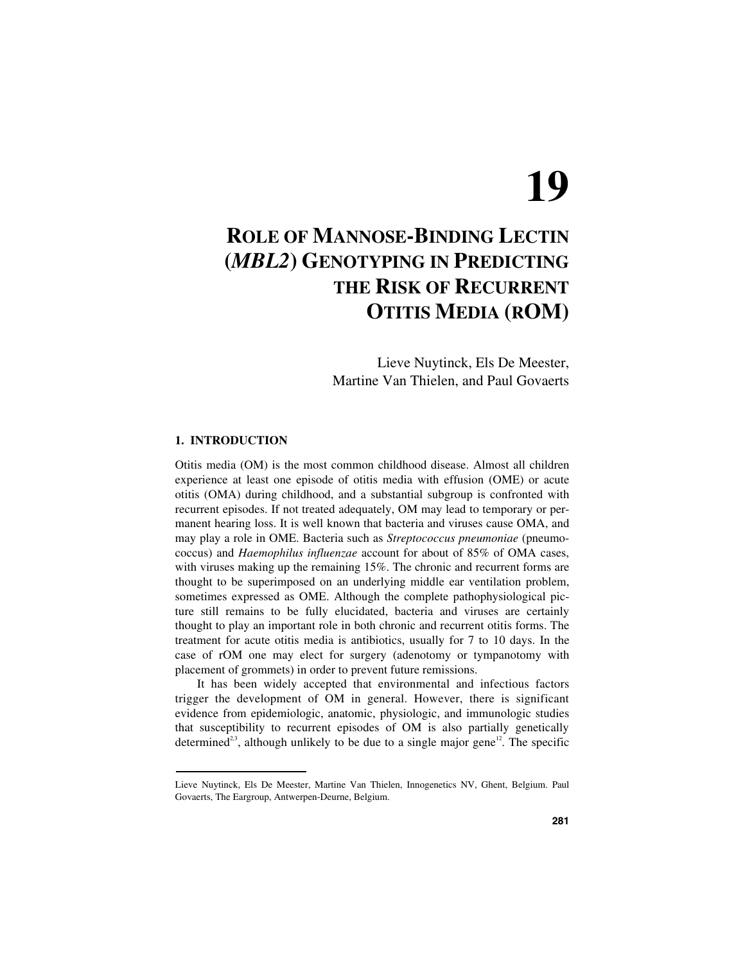# **19**

# **ROLE OF MANNOSE-BINDING LECTIN (***MBL2***) GENOTYPING IN PREDICTING THE RISK OF RECURRENT OTITIS MEDIA (ROM)**

Lieve Nuytinck, Els De Meester, Martine Van Thielen, and Paul Govaerts

### **1. INTRODUCTION**

Otitis media (OM) is the most common childhood disease. Almost all children experience at least one episode of otitis media with effusion (OME) or acute otitis (OMA) during childhood, and a substantial subgroup is confronted with recurrent episodes. If not treated adequately, OM may lead to temporary or permanent hearing loss. It is well known that bacteria and viruses cause OMA, and may play a role in OME. Bacteria such as *Streptococcus pneumoniae* (pneumococcus) and *Haemophilus influenzae* account for about of 85% of OMA cases, with viruses making up the remaining 15%. The chronic and recurrent forms are thought to be superimposed on an underlying middle ear ventilation problem, sometimes expressed as OME. Although the complete pathophysiological picture still remains to be fully elucidated, bacteria and viruses are certainly thought to play an important role in both chronic and recurrent otitis forms. The treatment for acute otitis media is antibiotics, usually for 7 to 10 days. In the case of rOM one may elect for surgery (adenotomy or tympanotomy with placement of grommets) in order to prevent future remissions.

It has been widely accepted that environmental and infectious factors trigger the development of OM in general. However, there is significant evidence from epidemiologic, anatomic, physiologic, and immunologic studies that susceptibility to recurrent episodes of OM is also partially genetically determined<sup>2,3</sup>, although unlikely to be due to a single major gene<sup>12</sup>. The specific

Lieve Nuytinck, Els De Meester, Martine Van Thielen, Innogenetics NV, Ghent, Belgium. Paul Govaerts, The Eargroup, Antwerpen-Deurne, Belgium.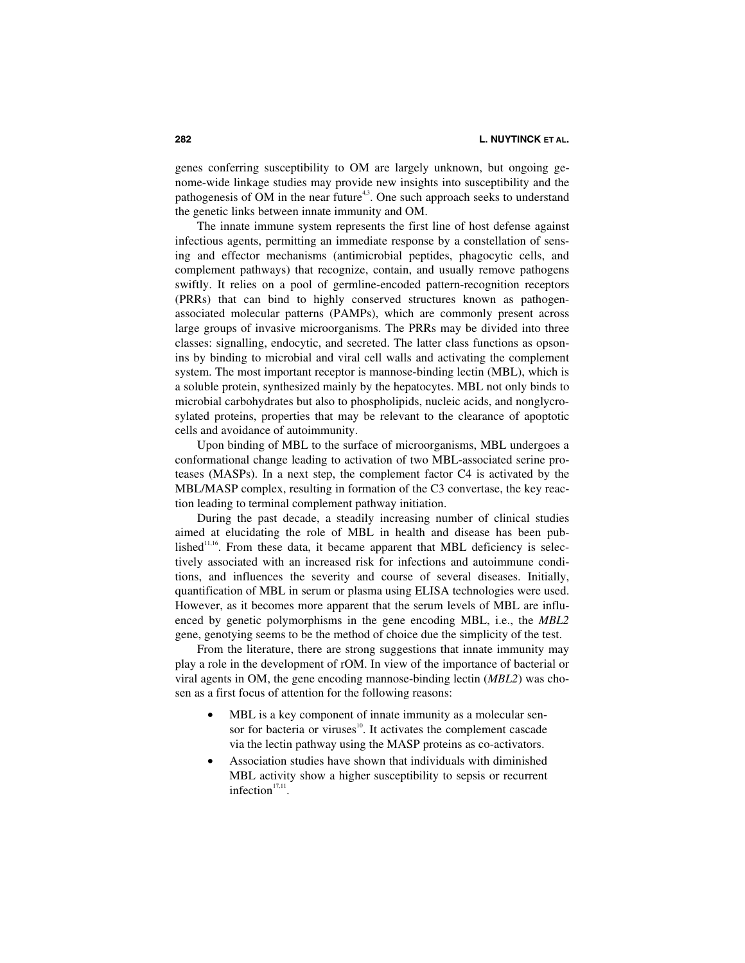genes conferring susceptibility to OM are largely unknown, but ongoing genome-wide linkage studies may provide new insights into susceptibility and the pathogenesis of OM in the near future<sup>4,3</sup>. One such approach seeks to understand the genetic links between innate immunity and OM.

The innate immune system represents the first line of host defense against infectious agents, permitting an immediate response by a constellation of sensing and effector mechanisms (antimicrobial peptides, phagocytic cells, and complement pathways) that recognize, contain, and usually remove pathogens swiftly. It relies on a pool of germline-encoded pattern-recognition receptors (PRRs) that can bind to highly conserved structures known as pathogenassociated molecular patterns (PAMPs), which are commonly present across large groups of invasive microorganisms. The PRRs may be divided into three classes: signalling, endocytic, and secreted. The latter class functions as opsonins by binding to microbial and viral cell walls and activating the complement system. The most important receptor is mannose-binding lectin (MBL), which is a soluble protein, synthesized mainly by the hepatocytes. MBL not only binds to microbial carbohydrates but also to phospholipids, nucleic acids, and nonglycrosylated proteins, properties that may be relevant to the clearance of apoptotic cells and avoidance of autoimmunity.

Upon binding of MBL to the surface of microorganisms, MBL undergoes a conformational change leading to activation of two MBL-associated serine proteases (MASPs). In a next step, the complement factor C4 is activated by the MBL/MASP complex, resulting in formation of the C3 convertase, the key reaction leading to terminal complement pathway initiation.

During the past decade, a steadily increasing number of clinical studies aimed at elucidating the role of MBL in health and disease has been published $11,16$ . From these data, it became apparent that MBL deficiency is selectively associated with an increased risk for infections and autoimmune conditions, and influences the severity and course of several diseases. Initially, quantification of MBL in serum or plasma using ELISA technologies were used. However, as it becomes more apparent that the serum levels of MBL are influenced by genetic polymorphisms in the gene encoding MBL, i.e., the *MBL2* gene, genotying seems to be the method of choice due the simplicity of the test.

From the literature, there are strong suggestions that innate immunity may play a role in the development of rOM. In view of the importance of bacterial or viral agents in OM, the gene encoding mannose-binding lectin (*MBL2*) was chosen as a first focus of attention for the following reasons:

- MBL is a key component of innate immunity as a molecular sensor for bacteria or viruses<sup>10</sup>. It activates the complement cascade via the lectin pathway using the MASP proteins as co-activators.
- Association studies have shown that individuals with diminished MBL activity show a higher susceptibility to sepsis or recurrent infection $17,11$ .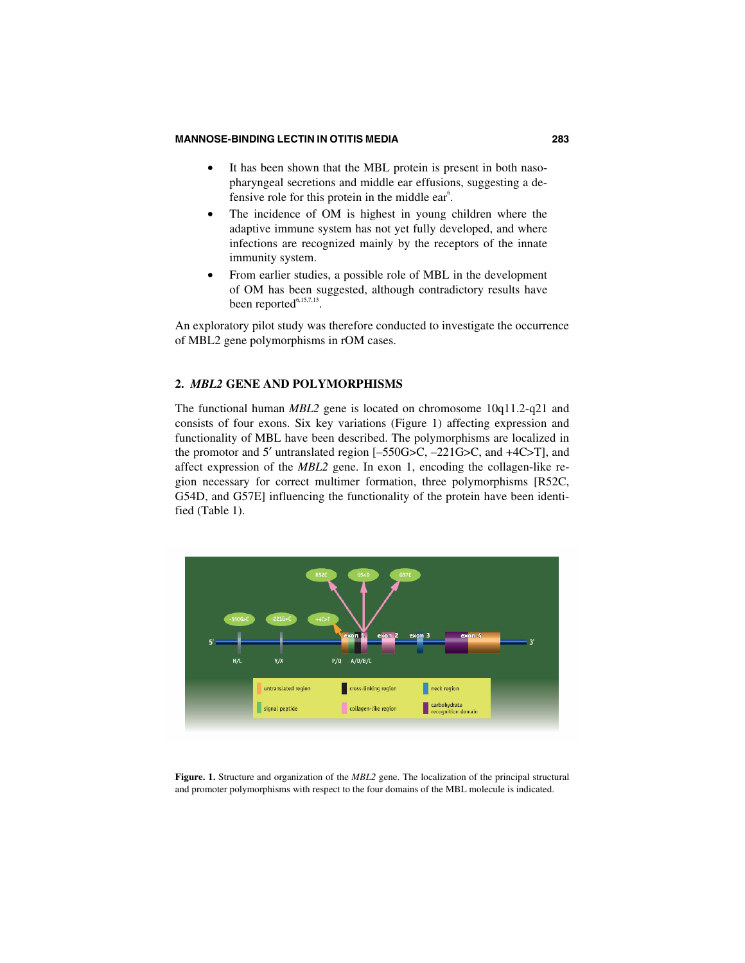#### **MANNOSE-BINDING LECTIN IN OTITIS MEDIA 283**

- It has been shown that the MBL protein is present in both nasopharyngeal secretions and middle ear effusions, suggesting a defensive role for this protein in the middle ear $\degree$ .
- The incidence of OM is highest in young children where the adaptive immune system has not yet fully developed, and where infections are recognized mainly by the receptors of the innate immunity system.
- From earlier studies, a possible role of MBL in the development of OM has been suggested, although contradictory results have been reported<sup>6,15,7,13</sup>.

An exploratory pilot study was therefore conducted to investigate the occurrence of MBL2 gene polymorphisms in rOM cases.

# **2.** *MBL2* **GENE AND POLYMORPHISMS**

The functional human *MBL2* gene is located on chromosome 10q11.2-q21 and consists of four exons. Six key variations (Figure 1) affecting expression and functionality of MBL have been described. The polymorphisms are localized in the promotor and 5′ untranslated region [–550G>C, –221G>C, and +4C>T], and affect expression of the *MBL2* gene. In exon 1, encoding the collagen-like region necessary for correct multimer formation, three polymorphisms [R52C, G54D, and G57E] influencing the functionality of the protein have been identified (Table 1).



**Figure. 1.** Structure and organization of the *MBL2* gene. The localization of the principal structural and promoter polymorphisms with respect to the four domains of the MBL molecule is indicated.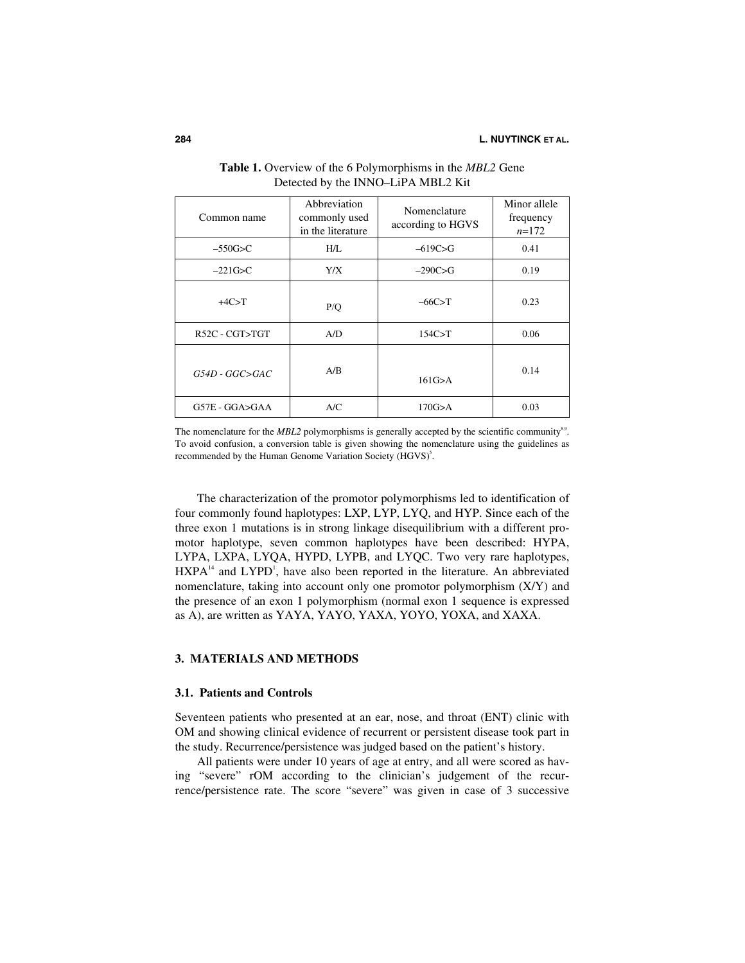| Common name        | Abbreviation<br>commonly used<br>in the literature | Nomenclature<br>according to HGVS | Minor allele<br>frequency<br>$n=172$ |
|--------------------|----------------------------------------------------|-----------------------------------|--------------------------------------|
| $-550$ G $>$ C     | H/L                                                | $-619C > G$                       | 0.41                                 |
| $-221$ G $>$ C     | Y/X                                                | $-290C > G$                       | 0.19                                 |
| $+4C > T$          | P/Q                                                | $-66C > T$                        | 0.23                                 |
| R52C - CGT>TGT     | A/D                                                | 154C > T                          | 0.06                                 |
| $G54D - GGC > GAC$ | A/B                                                | 161G > A                          | 0.14                                 |
| G57E - GGA>GAA     | A/C                                                | 170G > A                          | 0.03                                 |

**Table 1.** Overview of the 6 Polymorphisms in the *MBL2* Gene Detected by the INNO–LiPA MBL2 Kit

The nomenclature for the *MBL2* polymorphisms is generally accepted by the scientific community<sup>89</sup>. To avoid confusion, a conversion table is given showing the nomenclature using the guidelines as recommended by the Human Genome Variation Society (HGVS)<sup>5</sup>.

The characterization of the promotor polymorphisms led to identification of four commonly found haplotypes: LXP, LYP, LYQ, and HYP. Since each of the three exon 1 mutations is in strong linkage disequilibrium with a different promotor haplotype, seven common haplotypes have been described: HYPA, LYPA, LXPA, LYQA, HYPD, LYPB, and LYQC. Two very rare haplotypes,  $HXPA<sup>14</sup>$  and  $LYPD<sup>1</sup>$ , have also been reported in the literature. An abbreviated nomenclature, taking into account only one promotor polymorphism (X/Y) and the presence of an exon 1 polymorphism (normal exon 1 sequence is expressed as A), are written as YAYA, YAYO, YAXA, YOYO, YOXA, and XAXA.

# **3. MATERIALS AND METHODS**

#### **3.1. Patients and Controls**

Seventeen patients who presented at an ear, nose, and throat (ENT) clinic with OM and showing clinical evidence of recurrent or persistent disease took part in the study. Recurrence/persistence was judged based on the patient's history.

All patients were under 10 years of age at entry, and all were scored as having "severe" rOM according to the clinician's judgement of the recurrence/persistence rate. The score "severe" was given in case of 3 successive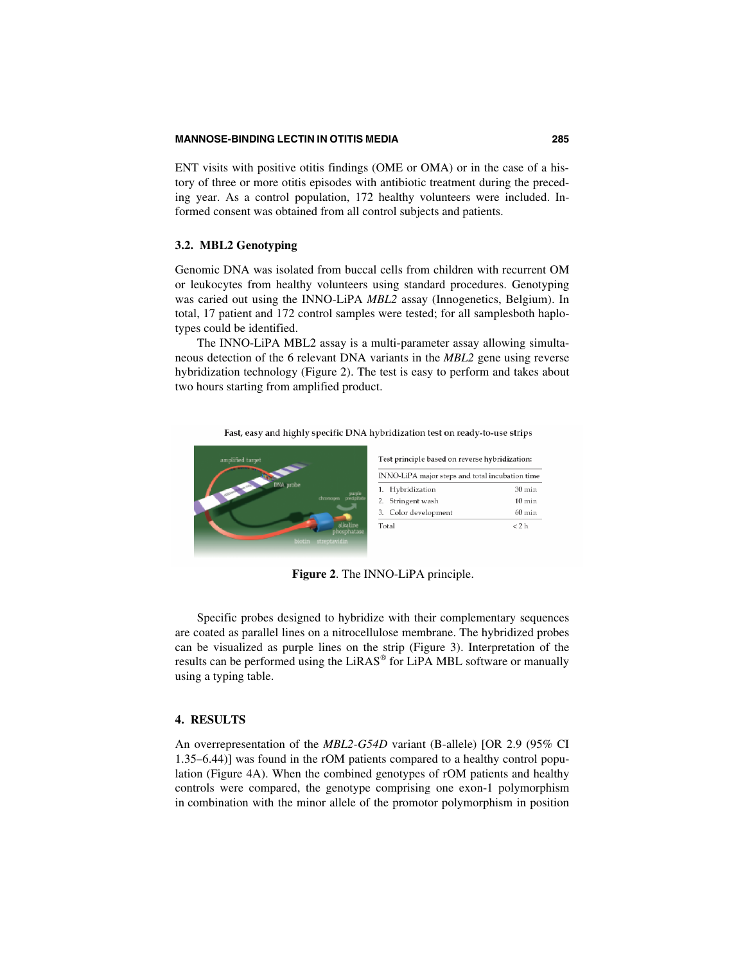#### **MANNOSE-BINDING LECTIN IN OTITIS MEDIA 285**

ENT visits with positive otitis findings (OME or OMA) or in the case of a history of three or more otitis episodes with antibiotic treatment during the preceding year. As a control population, 172 healthy volunteers were included. Informed consent was obtained from all control subjects and patients.

#### **3.2. MBL2 Genotyping**

Genomic DNA was isolated from buccal cells from children with recurrent OM or leukocytes from healthy volunteers using standard procedures. Genotyping was caried out using the INNO-LiPA *MBL2* assay (Innogenetics, Belgium). In total, 17 patient and 172 control samples were tested; for all samplesboth haplotypes could be identified.

The INNO-LiPA MBL2 assay is a multi-parameter assay allowing simultaneous detection of the 6 relevant DNA variants in the *MBL2* gene using reverse hybridization technology (Figure 2). The test is easy to perform and takes about two hours starting from amplified product.

Fast, easy and highly specific DNA hybridization test on ready-to-use strips



| Test principle based on reverse hybridization:  |                  |  |  |
|-------------------------------------------------|------------------|--|--|
| INNO-LiPA major steps and total incubation time |                  |  |  |
| 1. Hybridization                                | $30 \text{ min}$ |  |  |
| Stringent wash<br>2.                            | $10 \text{ min}$ |  |  |
| 3. Color development                            | $60 \text{ min}$ |  |  |
| Total                                           | ∠9 h             |  |  |

**Figure 2**. The INNO-LiPA principle.

Specific probes designed to hybridize with their complementary sequences are coated as parallel lines on a nitrocellulose membrane. The hybridized probes can be visualized as purple lines on the strip (Figure 3). Interpretation of the results can be performed using the  $LiRAS^{\circ}$  for LiPA MBL software or manually using a typing table.

#### **4. RESULTS**

An overrepresentation of the *MBL2-G54D* variant (B-allele) [OR 2.9 (95% CI 1.35–6.44)] was found in the rOM patients compared to a healthy control population (Figure 4A). When the combined genotypes of rOM patients and healthy controls were compared, the genotype comprising one exon-1 polymorphism in combination with the minor allele of the promotor polymorphism in position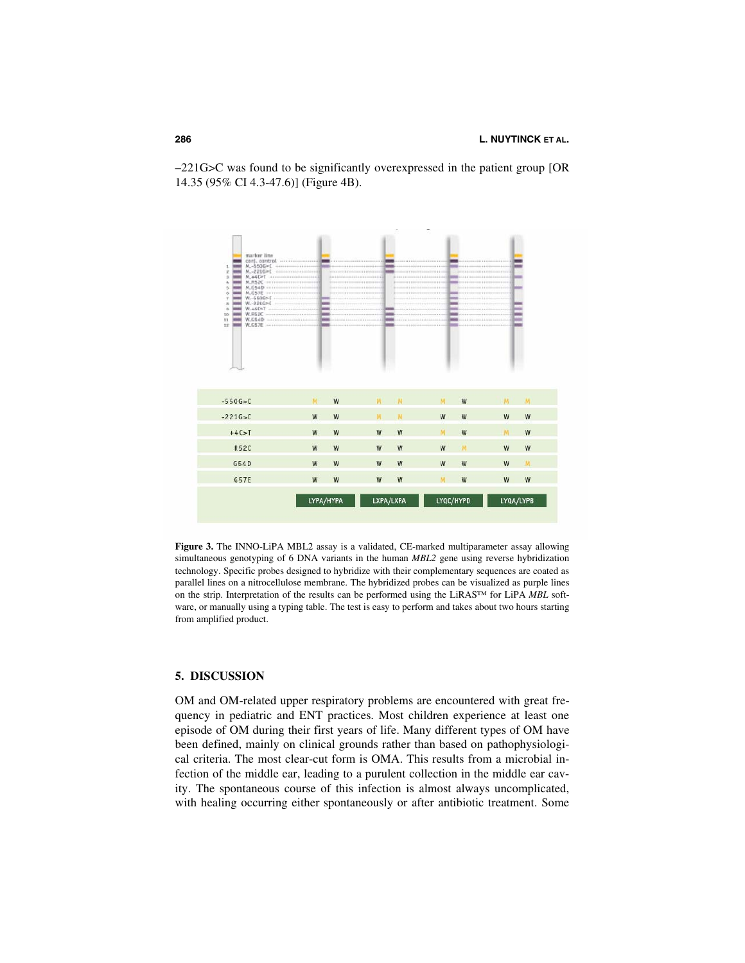$-221$ G $>$ C was found to be significantly overexpressed in the patient group [OR 14.35 (95% CI 4.3-47.6)] (Figure 4B).



**Figure 3.** The INNO-LiPA MBL2 assay is a validated, CE-marked multiparameter assay allowing simultaneous genotyping of 6 DNA variants in the human *MBL2* gene using reverse hybridization technology. Specific probes designed to hybridize with their complementary sequences are coated as parallel lines on a nitrocellulose membrane. The hybridized probes can be visualized as purple lines on the strip. Interpretation of the results can be performed using the LiRAS™ for LiPA *MBL* software, or manually using a typing table. The test is easy to perform and takes about two hours starting from amplified product.

#### **5. DISCUSSION**

OM and OM-related upper respiratory problems are encountered with great frequency in pediatric and ENT practices. Most children experience at least one episode of OM during their first years of life. Many different types of OM have been defined, mainly on clinical grounds rather than based on pathophysiological criteria. The most clear-cut form is OMA. This results from a microbial infection of the middle ear, leading to a purulent collection in the middle ear cavity. The spontaneous course of this infection is almost always uncomplicated, with healing occurring either spontaneously or after antibiotic treatment. Some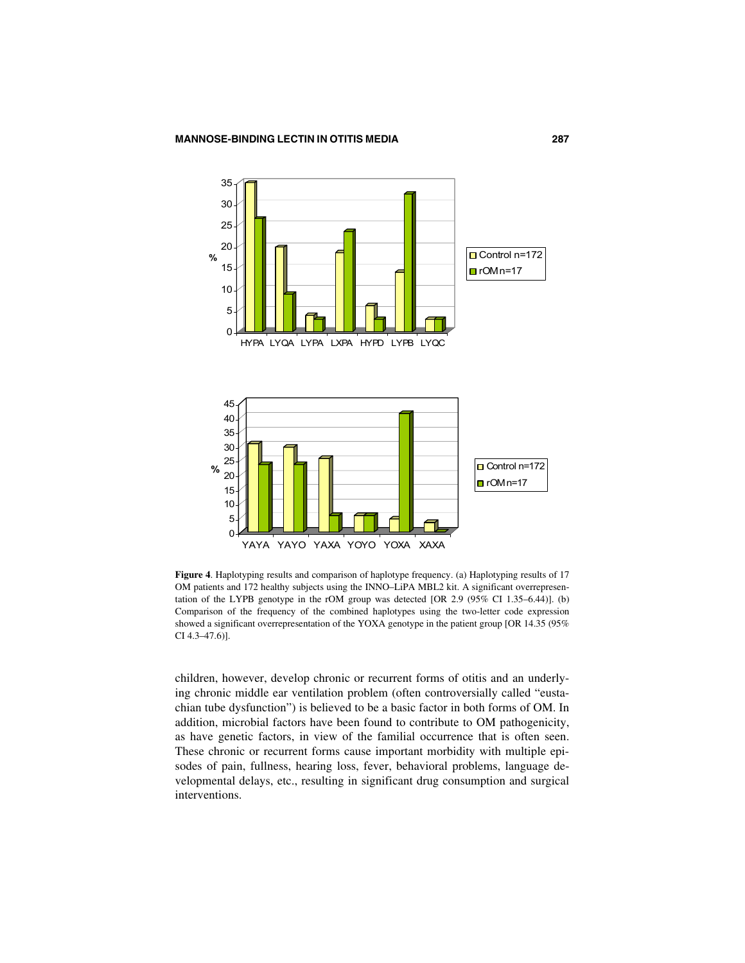

**Figure 4**. Haplotyping results and comparison of haplotype frequency. (a) Haplotyping results of 17 OM patients and 172 healthy subjects using the INNO–LiPA MBL2 kit. A significant overrepresentation of the LYPB genotype in the rOM group was detected [OR 2.9 (95% CI 1.35–6.44)]. (b) Comparison of the frequency of the combined haplotypes using the two-letter code expression showed a significant overrepresentation of the YOXA genotype in the patient group [OR 14.35 (95% CI 4.3–47.6)].

children, however, develop chronic or recurrent forms of otitis and an underlying chronic middle ear ventilation problem (often controversially called "eustachian tube dysfunction") is believed to be a basic factor in both forms of OM. In addition, microbial factors have been found to contribute to OM pathogenicity, as have genetic factors, in view of the familial occurrence that is often seen. These chronic or recurrent forms cause important morbidity with multiple episodes of pain, fullness, hearing loss, fever, behavioral problems, language developmental delays, etc., resulting in significant drug consumption and surgical interventions.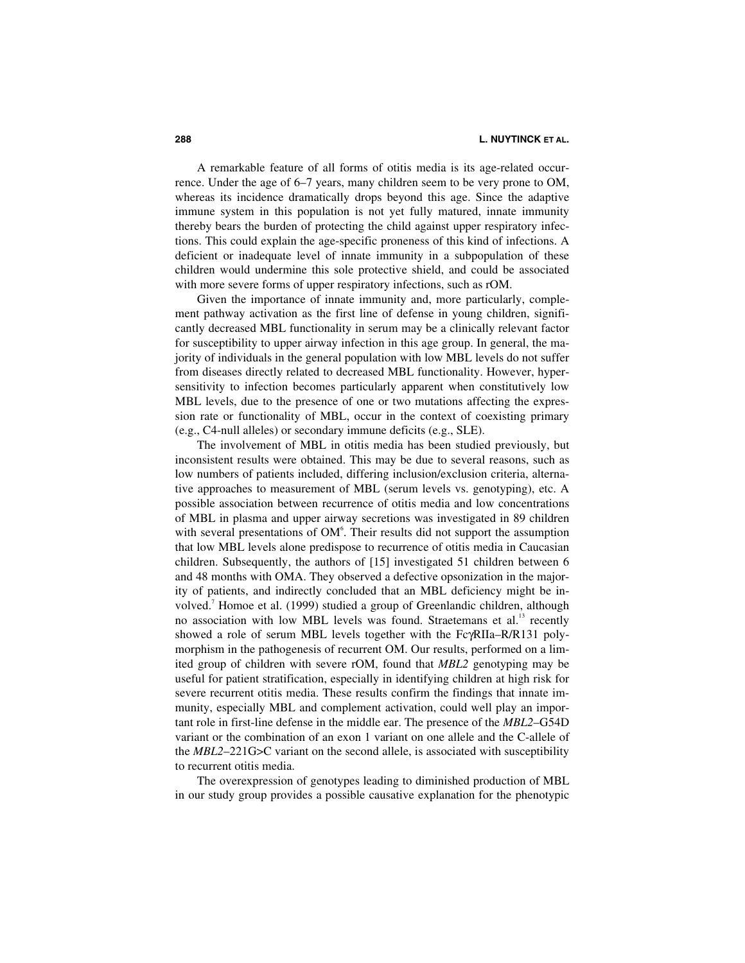A remarkable feature of all forms of otitis media is its age-related occurrence. Under the age of 6–7 years, many children seem to be very prone to OM, whereas its incidence dramatically drops beyond this age. Since the adaptive immune system in this population is not yet fully matured, innate immunity thereby bears the burden of protecting the child against upper respiratory infections. This could explain the age-specific proneness of this kind of infections. A deficient or inadequate level of innate immunity in a subpopulation of these children would undermine this sole protective shield, and could be associated with more severe forms of upper respiratory infections, such as rOM.

Given the importance of innate immunity and, more particularly, complement pathway activation as the first line of defense in young children, significantly decreased MBL functionality in serum may be a clinically relevant factor for susceptibility to upper airway infection in this age group. In general, the majority of individuals in the general population with low MBL levels do not suffer from diseases directly related to decreased MBL functionality. However, hypersensitivity to infection becomes particularly apparent when constitutively low MBL levels, due to the presence of one or two mutations affecting the expression rate or functionality of MBL, occur in the context of coexisting primary (e.g., C4-null alleles) or secondary immune deficits (e.g., SLE).

The involvement of MBL in otitis media has been studied previously, but inconsistent results were obtained. This may be due to several reasons, such as low numbers of patients included, differing inclusion/exclusion criteria, alternative approaches to measurement of MBL (serum levels vs. genotyping), etc. A possible association between recurrence of otitis media and low concentrations of MBL in plasma and upper airway secretions was investigated in 89 children with several presentations of  $OM<sup>6</sup>$ . Their results did not support the assumption that low MBL levels alone predispose to recurrence of otitis media in Caucasian children. Subsequently, the authors of [15] investigated 51 children between 6 and 48 months with OMA. They observed a defective opsonization in the majority of patients, and indirectly concluded that an MBL deficiency might be involved.<sup>7</sup> Homoe et al. (1999) studied a group of Greenlandic children, although no association with low MBL levels was found. Straetemans et al.<sup>13</sup> recently showed a role of serum MBL levels together with the FcγRIIa–R/R131 polymorphism in the pathogenesis of recurrent OM. Our results, performed on a limited group of children with severe rOM, found that *MBL2* genotyping may be useful for patient stratification, especially in identifying children at high risk for severe recurrent otitis media. These results confirm the findings that innate immunity, especially MBL and complement activation, could well play an important role in first-line defense in the middle ear. The presence of the *MBL2*–G54D variant or the combination of an exon 1 variant on one allele and the C-allele of the *MBL2*–221G>C variant on the second allele, is associated with susceptibility to recurrent otitis media.

The overexpression of genotypes leading to diminished production of MBL in our study group provides a possible causative explanation for the phenotypic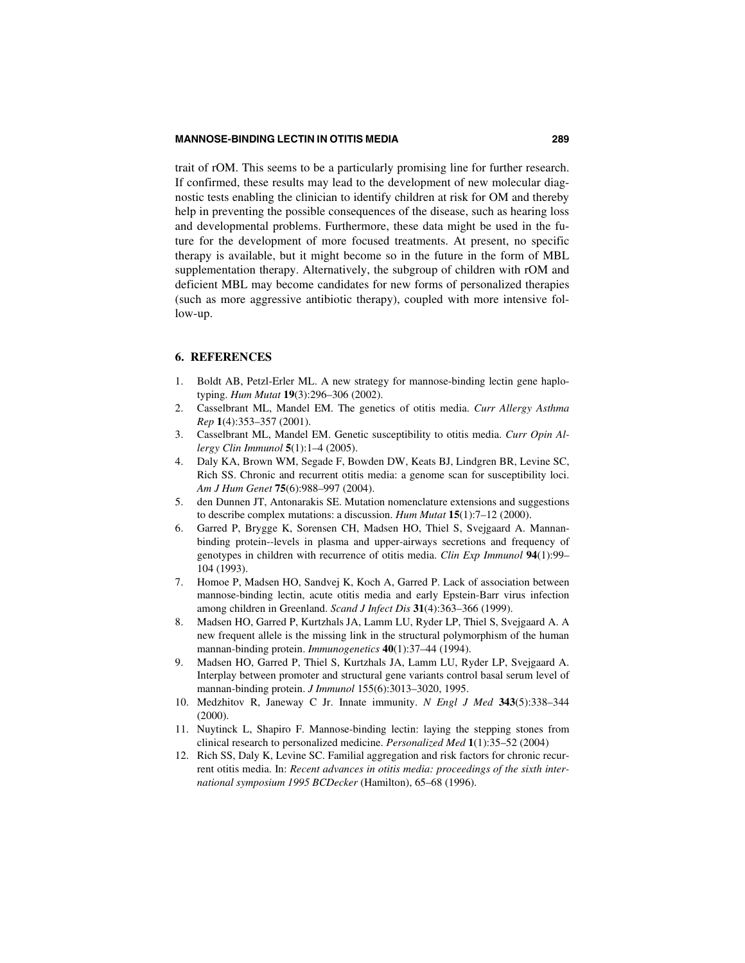#### **MANNOSE-BINDING LECTIN IN OTITIS MEDIA 289**

trait of rOM. This seems to be a particularly promising line for further research. If confirmed, these results may lead to the development of new molecular diagnostic tests enabling the clinician to identify children at risk for OM and thereby help in preventing the possible consequences of the disease, such as hearing loss and developmental problems. Furthermore, these data might be used in the future for the development of more focused treatments. At present, no specific therapy is available, but it might become so in the future in the form of MBL supplementation therapy. Alternatively, the subgroup of children with rOM and deficient MBL may become candidates for new forms of personalized therapies (such as more aggressive antibiotic therapy), coupled with more intensive follow-up.

#### **6. REFERENCES**

- 1. Boldt AB, Petzl-Erler ML. A new strategy for mannose-binding lectin gene haplotyping. *Hum Mutat* **19**(3):296–306 (2002).
- 2. Casselbrant ML, Mandel EM. The genetics of otitis media. *Curr Allergy Asthma Rep* **1**(4):353–357 (2001).
- 3. Casselbrant ML, Mandel EM. Genetic susceptibility to otitis media. *Curr Opin Allergy Clin Immunol* **5**(1):1–4 (2005).
- 4. Daly KA, Brown WM, Segade F, Bowden DW, Keats BJ, Lindgren BR, Levine SC, Rich SS. Chronic and recurrent otitis media: a genome scan for susceptibility loci. *Am J Hum Genet* **75**(6):988–997 (2004).
- 5. den Dunnen JT, Antonarakis SE. Mutation nomenclature extensions and suggestions to describe complex mutations: a discussion. *Hum Mutat* **15**(1):7–12 (2000).
- 6. Garred P, Brygge K, Sorensen CH, Madsen HO, Thiel S, Svejgaard A. Mannanbinding protein--levels in plasma and upper-airways secretions and frequency of genotypes in children with recurrence of otitis media. *Clin Exp Immunol* **94**(1):99– 104 (1993).
- 7. Homoe P, Madsen HO, Sandvej K, Koch A, Garred P. Lack of association between mannose-binding lectin, acute otitis media and early Epstein-Barr virus infection among children in Greenland. *Scand J Infect Dis* **31**(4):363–366 (1999).
- 8. Madsen HO, Garred P, Kurtzhals JA, Lamm LU, Ryder LP, Thiel S, Svejgaard A. A new frequent allele is the missing link in the structural polymorphism of the human mannan-binding protein. *Immunogenetics* **40**(1):37–44 (1994).
- 9. Madsen HO, Garred P, Thiel S, Kurtzhals JA, Lamm LU, Ryder LP, Svejgaard A. Interplay between promoter and structural gene variants control basal serum level of mannan-binding protein. *J Immunol* 155(6):3013–3020, 1995.
- 10. Medzhitov R, Janeway C Jr. Innate immunity. *N Engl J Med* **343**(5):338–344 (2000).
- 11. Nuytinck L, Shapiro F. Mannose-binding lectin: laying the stepping stones from clinical research to personalized medicine. *Personalized Med* **1**(1):35–52 (2004)
- 12. Rich SS, Daly K, Levine SC. Familial aggregation and risk factors for chronic recurrent otitis media. In: *Recent advances in otitis media: proceedings of the sixth international symposium 1995 BCDecker* (Hamilton), 65–68 (1996).